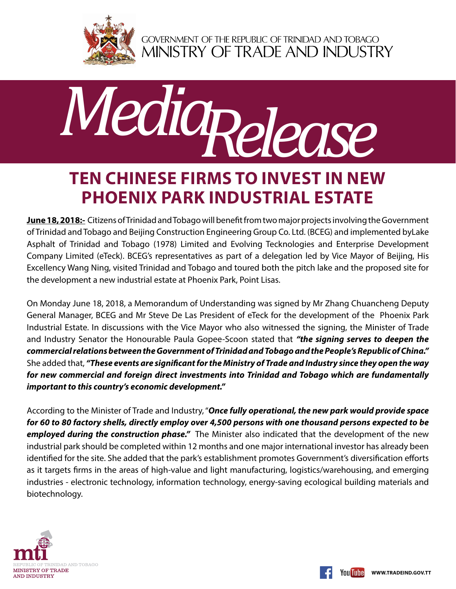

GOVERNMENT OF THE REPUBLIC OF TRINIDAD AND TOBAGO<br>MINISTRY OF TRADE AND INDUSTRY



## **Ten Chinese Firms to Invest in new Phoenix Park Industrial Estate**

**June 18, 2018:-** Citizens of Trinidad and Tobago will benefit from two major projects involving the Government of Trinidad and Tobago and Beijing Construction Engineering Group Co. Ltd. (BCEG) and implemented byLake Asphalt of Trinidad and Tobago (1978) Limited and Evolving Tecknologies and Enterprise Development Company Limited (eTeck). BCEG's representatives as part of a delegation led by Vice Mayor of Beijing, His Excellency Wang Ning, visited Trinidad and Tobago and toured both the pitch lake and the proposed site for the development a new industrial estate at Phoenix Park, Point Lisas.

On Monday June 18, 2018, a Memorandum of Understanding was signed by Mr Zhang Chuancheng Deputy General Manager, BCEG and Mr Steve De Las President of eTeck for the development of the Phoenix Park Industrial Estate. In discussions with the Vice Mayor who also witnessed the signing, the Minister of Trade and Industry Senator the Honourable Paula Gopee-Scoon stated that *"the signing serves to deepen the commercial relations between the Government of Trinidad and Tobago and the People's Republic of China."*  She added that, *"These events are significant for the Ministry of Trade and Industry since they open the way for new commercial and foreign direct investments into Trinidad and Tobago which are fundamentally important to this country's economic development."*

According to the Minister of Trade and Industry, "*Once fully operational, the new park would provide space for 60 to 80 factory shells, directly employ over 4,500 persons with one thousand persons expected to be employed during the construction phase."* The Minister also indicated that the development of the new industrial park should be completed within 12 months and one major international investor has already been identified for the site. She added that the park's establishment promotes Government's diversification efforts as it targets firms in the areas of high-value and light manufacturing, logistics/warehousing, and emerging industries - electronic technology, information technology, energy-saving ecological building materials and biotechnology.